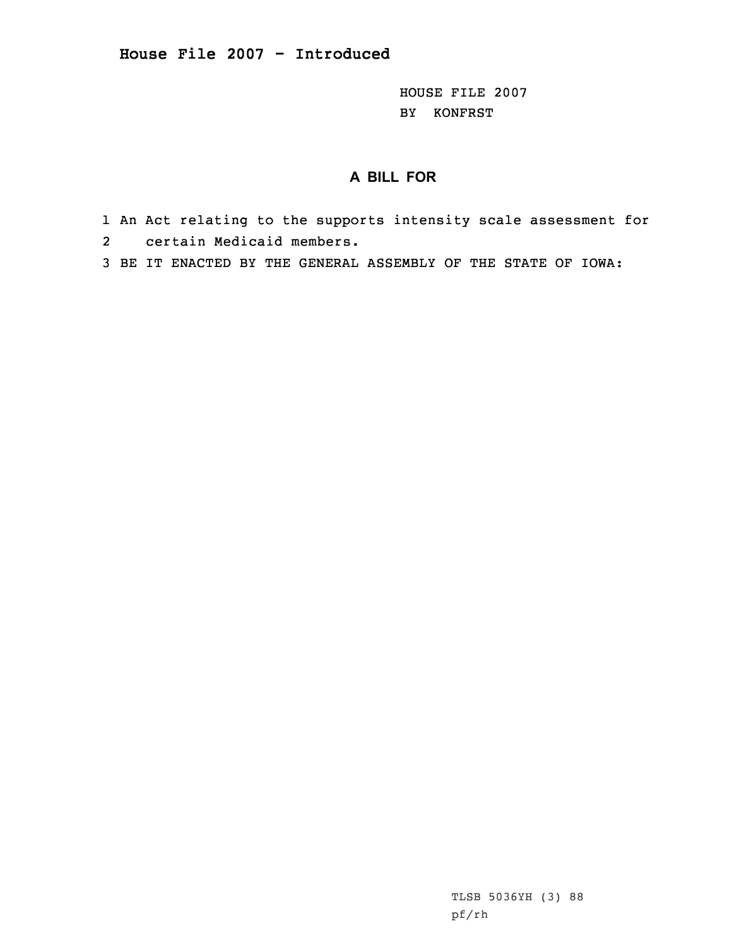HOUSE FILE 2007 BY KONFRST

## **A BILL FOR**

- 1 An Act relating to the supports intensity scale assessment for 2 certain Medicaid members.
- 3 BE IT ENACTED BY THE GENERAL ASSEMBLY OF THE STATE OF IOWA:

TLSB 5036YH (3) 88 pf/rh